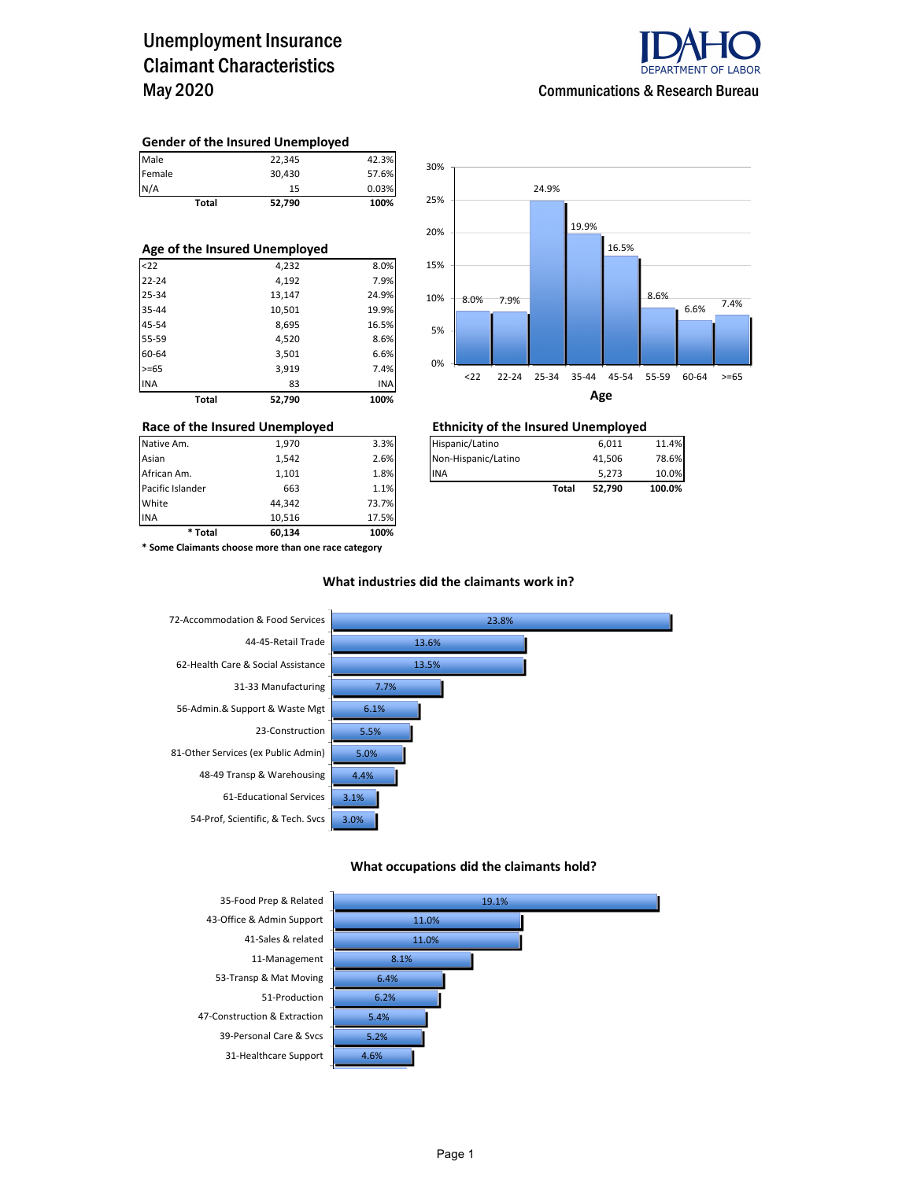## Unemployment Insurance Claimant Characteristics May 2020



#### **Gender of the Insured Unemployed**

|        | <b>Total</b> | 52,790 | 100%  |
|--------|--------------|--------|-------|
| N/A    |              | 15     | 0.03% |
| Female |              | 30,430 | 57.6% |
| Male   |              | 22,345 | 42.3% |

#### **Age of the Insured Unemployed**

| <b>Total</b> | 52,790 | 100%  |
|--------------|--------|-------|
| <b>INA</b>   | 83     | INA   |
| $>= 65$      | 3,919  | 7.4%  |
| 60-64        | 3,501  | 6.6%  |
| 55-59        | 4,520  | 8.6%  |
| 45-54        | 8,695  | 16.5% |
| 35-44        | 10,501 | 19.9% |
| 25-34        | 13,147 | 24.9% |
| $22 - 24$    | 4,192  | 7.9%  |
| $22$         | 4,232  | 8.0%  |



### **Race of the Insured Unemployed Ethnicity of the Insured Unemployed**

| Native Am.       | 1.970 | 3.3% | Hispanic/Latino     |       | 6,011  | 11.4%  |
|------------------|-------|------|---------------------|-------|--------|--------|
| Asian            | 1.542 | 2.6% | Non-Hispanic/Latino |       | 41.506 | 78.6%  |
| African Am.      | 1.101 | 1.8% | <b>INA</b>          |       | 5,273  | 10.0%  |
| Pacific Islander | 663   | 1.1% |                     | Total | 52.790 | 100.0% |

**\* Some Claimants choose more than one race category**

Pacific Islander **1.1% Following** 663 **1.1%** White 44,342 73.7% INA 10,516 17.5% **\* Total 60,134 100%**

#### **What industries did the claimants work in?**



#### **What occupations did the claimants hold?**

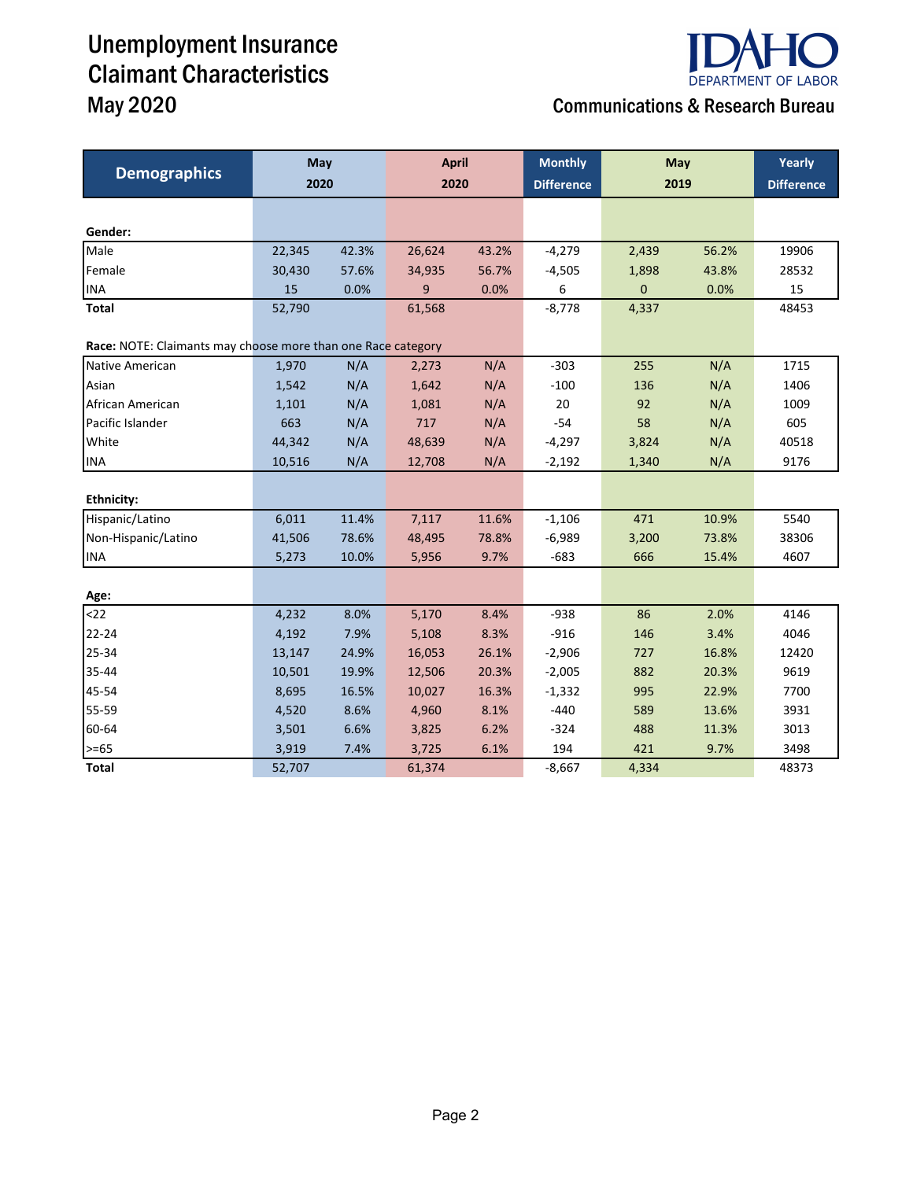# Unemployment Insurance Claimant Characteristics May 2020 Communications & Research Bureau



| <b>Demographics</b>                                          | May    |       | <b>April</b> |       | <b>Monthly</b> | May         |       | Yearly            |
|--------------------------------------------------------------|--------|-------|--------------|-------|----------------|-------------|-------|-------------------|
|                                                              | 2020   |       |              | 2020  |                | 2019        |       | <b>Difference</b> |
|                                                              |        |       |              |       |                |             |       |                   |
| Gender:                                                      |        |       |              |       |                |             |       |                   |
| Male                                                         | 22,345 | 42.3% | 26,624       | 43.2% | $-4,279$       | 2,439       | 56.2% | 19906             |
| Female                                                       | 30,430 | 57.6% | 34,935       | 56.7% | $-4,505$       | 1,898       | 43.8% | 28532             |
| <b>INA</b>                                                   | 15     | 0.0%  | 9            | 0.0%  | 6              | $\mathbf 0$ | 0.0%  | 15                |
| Total                                                        | 52,790 |       | 61,568       |       | $-8,778$       | 4,337       |       | 48453             |
| Race: NOTE: Claimants may choose more than one Race category |        |       |              |       |                |             |       |                   |
| Native American                                              | 1,970  | N/A   | 2,273        | N/A   | $-303$         | 255         | N/A   | 1715              |
| Asian                                                        | 1,542  | N/A   | 1,642        | N/A   | $-100$         | 136         | N/A   | 1406              |
| African American                                             | 1,101  | N/A   | 1,081        | N/A   | 20             | 92          | N/A   | 1009              |
| Pacific Islander                                             | 663    | N/A   | 717          | N/A   | $-54$          | 58          | N/A   | 605               |
| White                                                        | 44,342 | N/A   | 48,639       | N/A   | $-4,297$       | 3,824       | N/A   | 40518             |
| <b>INA</b>                                                   | 10,516 | N/A   | 12,708       | N/A   | $-2,192$       | 1,340       | N/A   | 9176              |
|                                                              |        |       |              |       |                |             |       |                   |
| <b>Ethnicity:</b>                                            |        |       |              |       |                |             |       |                   |
| Hispanic/Latino                                              | 6,011  | 11.4% | 7,117        | 11.6% | $-1,106$       | 471         | 10.9% | 5540              |
| Non-Hispanic/Latino                                          | 41,506 | 78.6% | 48,495       | 78.8% | $-6,989$       | 3,200       | 73.8% | 38306             |
| <b>INA</b>                                                   | 5,273  | 10.0% | 5,956        | 9.7%  | $-683$         | 666         | 15.4% | 4607              |
|                                                              |        |       |              |       |                |             |       |                   |
| Age:                                                         |        |       |              |       |                |             |       |                   |
| $22$                                                         | 4,232  | 8.0%  | 5,170        | 8.4%  | $-938$         | 86          | 2.0%  | 4146              |
| 22-24                                                        | 4,192  | 7.9%  | 5,108        | 8.3%  | $-916$         | 146         | 3.4%  | 4046              |
| 25-34                                                        | 13,147 | 24.9% | 16,053       | 26.1% | $-2,906$       | 727         | 16.8% | 12420             |
| 35-44                                                        | 10,501 | 19.9% | 12,506       | 20.3% | $-2,005$       | 882         | 20.3% | 9619              |
| 45-54                                                        | 8,695  | 16.5% | 10,027       | 16.3% | $-1,332$       | 995         | 22.9% | 7700              |
| 55-59                                                        | 4,520  | 8.6%  | 4,960        | 8.1%  | $-440$         | 589         | 13.6% | 3931              |
| 60-64                                                        | 3,501  | 6.6%  | 3,825        | 6.2%  | $-324$         | 488         | 11.3% | 3013              |
| $>= 65$                                                      | 3,919  | 7.4%  | 3,725        | 6.1%  | 194            | 421         | 9.7%  | 3498              |
| <b>Total</b>                                                 | 52,707 |       | 61,374       |       | $-8,667$       | 4,334       |       | 48373             |